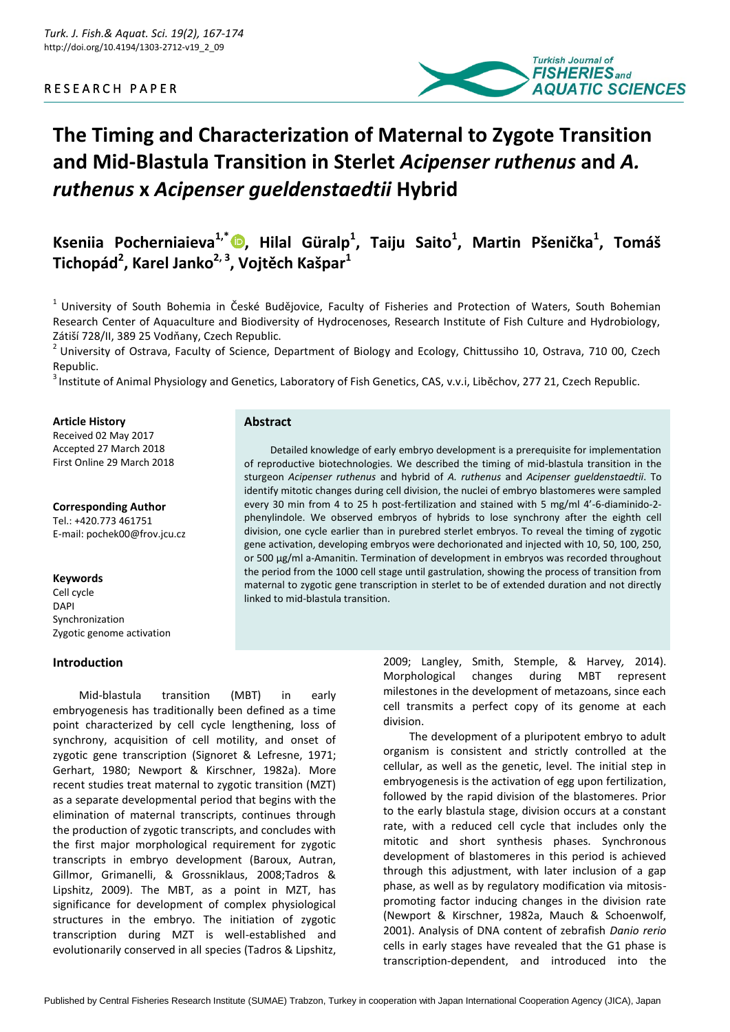

# **The Timing and Characterization of Maternal to Zygote Transition and Mid-Blastula Transition in Sterlet** *Acipenser ruthenus* **and** *A. ruthenus* **x** *Acipenser gueldenstaedtii* **Hybrid**

**Kseniia Pocherniaieva1,\* [,](https://orcid.org/0000-0002-8021-4847) Hilal Güralp<sup>1</sup> , Taiju Saito<sup>1</sup> , Martin Pšenička<sup>1</sup> , Tomáš Tichopád<sup>2</sup> , Karel Janko2, 3, Vojtěch Kašpar<sup>1</sup>**

 $1$  University of South Bohemia in České Budějovice, Faculty of Fisheries and Protection of Waters, South Bohemian Research Center of Aquaculture and Biodiversity of Hydrocenoses, Research Institute of Fish Culture and Hydrobiology, Zátiší 728/II, 389 25 Vodňany, Czech Republic.

 $2$  University of Ostrava, Faculty of Science, Department of Biology and Ecology, Chittussiho 10, Ostrava, 710 00, Czech Republic.

<sup>3</sup> Institute of Animal Physiology and Genetics, Laboratory of Fish Genetics, CAS, v.v.i, Liběchov, 277 21, Czech Republic.

#### **Article History**

Received 02 May 2017 Accepted 27 March 2018 First Online 29 March 2018

**Corresponding Author**

Tel.: +420.773 461751 E-mail: pochek00@frov.jcu.cz

#### **Keywords**

Cell cycle DAPI Synchronization Zygotic genome activation

## **Introduction**

Mid-blastula transition (MBT) in early embryogenesis has traditionally been defined as a time point characterized by cell cycle lengthening, loss of synchrony, acquisition of cell motility, and onset of zygotic gene transcription (Signoret & Lefresne, 1971; Gerhart, 1980; Newport & Kirschner, 1982a). More recent studies treat maternal to zygotic transition (MZT) as a separate developmental period that begins with the elimination of maternal transcripts, continues through the production of zygotic transcripts, and concludes with the first major morphological requirement for zygotic transcripts in embryo development (Baroux, Autran, Gillmor, Grimanelli, & Grossniklaus, 2008;Tadros & Lipshitz, 2009). The MBT, as a point in MZT, has significance for development of complex physiological structures in the embryo. The initiation of zygotic transcription during MZT is well-established and evolutionarily conserved in all species (Tadros & Lipshitz,

**Abstract**

Detailed knowledge of early embryo development is a prerequisite for implementation of reproductive biotechnologies. We described the timing of mid-blastula transition in the sturgeon *Acipenser ruthenus* and hybrid of *A. ruthenus* and *Acipenser gueldenstaedtii*. To identify mitotic changes during cell division, the nuclei of embryo blastomeres were sampled every 30 min from 4 to 25 h post-fertilization and stained with 5 mg/ml 4'-6-diaminido-2 phenylindole. We observed embryos of hybrids to lose synchrony after the eighth cell division, one cycle earlier than in purebred sterlet embryos. To reveal the timing of zygotic gene activation, developing embryos were dechorionated and injected with 10, 50, 100, 250, or 500 µg/ml a-Amanitin. Termination of development in embryos was recorded throughout the period from the 1000 cell stage until gastrulation, showing the process of transition from maternal to zygotic gene transcription in sterlet to be of extended duration and not directly linked to mid-blastula transition.

> 2009; Langley, Smith, Stemple, & Harvey*,* 2014). Morphological changes during MBT represent milestones in the development of metazoans, since each cell transmits a perfect copy of its genome at each division.

> The development of a pluripotent embryo to adult organism is consistent and strictly controlled at the cellular, as well as the genetic, level. The initial step in embryogenesis is the activation of egg upon fertilization, followed by the rapid division of the blastomeres. Prior to the early blastula stage, division occurs at a constant rate, with a reduced cell cycle that includes only the mitotic and short synthesis phases. Synchronous development of blastomeres in this period is achieved through this adjustment, with later inclusion of a gap phase, as well as by regulatory modification via mitosispromoting factor inducing changes in the division rate (Newport & Kirschner, 1982a, Mauch & Schoenwolf, 2001). Analysis of DNA content of zebrafish *Danio rerio* cells in early stages have revealed that the G1 phase is transcription-dependent, and introduced into the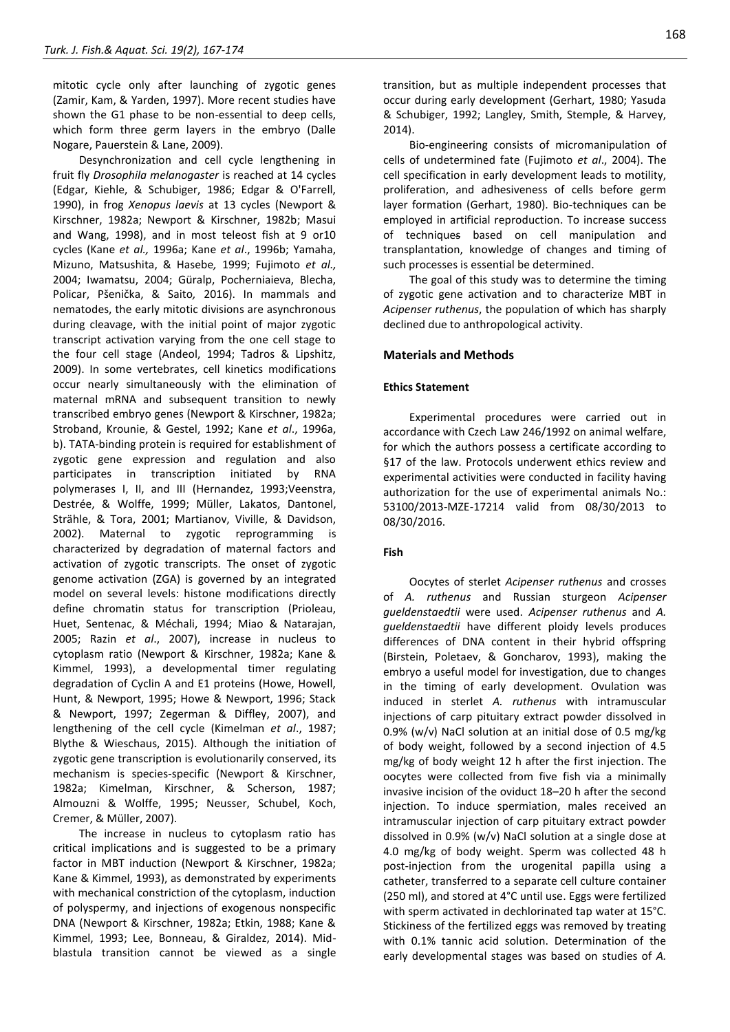mitotic cycle only after launching of zygotic genes (Zamir, Kam, & Yarden, 1997). More recent studies have shown the G1 phase to be non-essential to deep cells, which form three germ layers in the embryo (Dalle Nogare, Pauerstein & Lane, 2009).

Desynchronization and cell cycle lengthening in fruit fly *Drosophila melanogaster* is reached at 14 cycles (Edgar, Kiehle, & Schubiger, 1986; Edgar & O'Farrell, 1990), in frog *Xenopus laevis* at 13 cycles (Newport & Kirschner, 1982a; Newport & Kirschner, 1982b; Masui and Wang, 1998), and in most teleost fish at 9 or10 cycles (Kane *et al.,* 1996a; Kane *et al*., 1996b; Yamaha, Mizuno, Matsushita, & Hasebe*,* 1999; Fujimoto *et al.,* 2004; Iwamatsu, 2004; Güralp, Pocherniaieva, Blecha, Policar, Pšenička, & Saito*,* 2016). In mammals and nematodes, the early mitotic divisions are asynchronous during cleavage, with the initial point of major zygotic transcript activation varying from the one cell stage to the four cell stage (Andeol, 1994; Tadros & Lipshitz, 2009). In some vertebrates, cell kinetics modifications occur nearly simultaneously with the elimination of maternal mRNA and subsequent transition to newly transcribed embryo genes (Newport & Kirschner, 1982a; Stroband, Krounie, & Gestel, 1992; Kane *et al*., 1996a, b). TATA-binding protein is required for establishment of zygotic gene expression and regulation and also participates in transcription initiated by RNA polymerases I, II, and III (Hernandez, 1993;Veenstra, Destrée, & Wolffe, 1999; Müller, Lakatos, Dantonel, Strähle, & Tora, 2001; Martianov, Viville, & Davidson, 2002). Maternal to zygotic reprogramming is characterized by degradation of maternal factors and activation of zygotic transcripts. The onset of zygotic genome activation (ZGA) is governed by an integrated model on several levels: histone modifications directly define chromatin status for transcription (Prioleau, Huet, Sentenac, & Méchali, 1994; Miao & Natarajan, 2005; Razin *et al*., 2007), increase in nucleus to cytoplasm ratio (Newport & Kirschner, 1982a; Kane & Kimmel, 1993), a developmental timer regulating degradation of Cyclin A and E1 proteins (Howe, Howell, Hunt, & Newport, 1995; Howe & Newport, 1996; Stack & Newport, 1997; Zegerman & Diffley, 2007), and lengthening of the cell cycle (Kimelman *et al*., 1987; Blythe & Wieschaus, 2015). Although the initiation of zygotic gene transcription is evolutionarily conserved, its mechanism is species-specific (Newport & Kirschner, 1982a; Kimelman, Kirschner, & Scherson, 1987; Almouzni & Wolffe, 1995; Neusser, Schubel, Koch, Cremer, & Müller, 2007).

The increase in nucleus to cytoplasm ratio has critical implications and is suggested to be a primary factor in MBT induction (Newport & Kirschner, 1982a; Kane & Kimmel, 1993), as demonstrated by experiments with mechanical constriction of the cytoplasm, induction of polyspermy, and injections of exogenous nonspecific DNA (Newport & Kirschner, 1982a; Etkin, 1988; Kane & Kimmel, 1993; Lee, Bonneau, & Giraldez, 2014). Midblastula transition cannot be viewed as a single

transition, but as multiple independent processes that occur during early development (Gerhart, 1980; Yasuda & Schubiger, 1992; Langley, Smith, Stemple, & Harvey, 2014).

Bio-engineering consists of micromanipulation of cells of undetermined fate (Fujimoto *et al*., 2004). The cell specification in early development leads to motility, proliferation, and adhesiveness of cells before germ layer formation (Gerhart, 1980). Bio-techniques can be employed in artificial reproduction. To increase success of techniques based on cell manipulation and transplantation, knowledge of changes and timing of such processes is essential be determined.

The goal of this study was to determine the timing of zygotic gene activation and to characterize MBT in *Acipenser ruthenus*, the population of which has sharply declined due to anthropological activity.

# **Materials and Methods**

#### **Ethics Statement**

Experimental procedures were carried out in accordance with Czech Law 246/1992 on animal welfare, for which the authors possess a certificate according to §17 of the law. Protocols underwent ethics review and experimental activities were conducted in facility having authorization for the use of experimental animals No.: 53100/2013-MZE-17214 valid from 08/30/2013 to 08/30/2016.

## **Fish**

Oocytes of sterlet *Acipenser ruthenus* and crosses of *A. ruthenus* and Russian sturgeon *Acipenser gueldenstaedtii* were used. *Acipenser ruthenus* and *A. gueldenstaedtii* have different ploidy levels produces differences of DNA content in their hybrid offspring (Birstein, Poletaev, & Goncharov, 1993), making the embryo a useful model for investigation, due to changes in the timing of early development. Ovulation was induced in sterlet *A. ruthenus* with intramuscular injections of carp pituitary extract powder dissolved in 0.9% (w/v) NaCl solution at an initial dose of 0.5 mg/kg of body weight, followed by a second injection of 4.5 mg/kg of body weight 12 h after the first injection. The oocytes were collected from five fish via a minimally invasive incision of the oviduct 18–20 h after the second injection. To induce spermiation, males received an intramuscular injection of carp pituitary extract powder dissolved in 0.9% (w/v) NaCl solution at a single dose at 4.0 mg/kg of body weight. Sperm was collected 48 h post-injection from the urogenital papilla using a catheter, transferred to a separate cell culture container (250 ml), and stored at 4°C until use. Eggs were fertilized with sperm activated in dechlorinated tap water at 15°C. Stickiness of the fertilized eggs was removed by treating with 0.1% tannic acid solution. Determination of the early developmental stages was based on studies of *A.*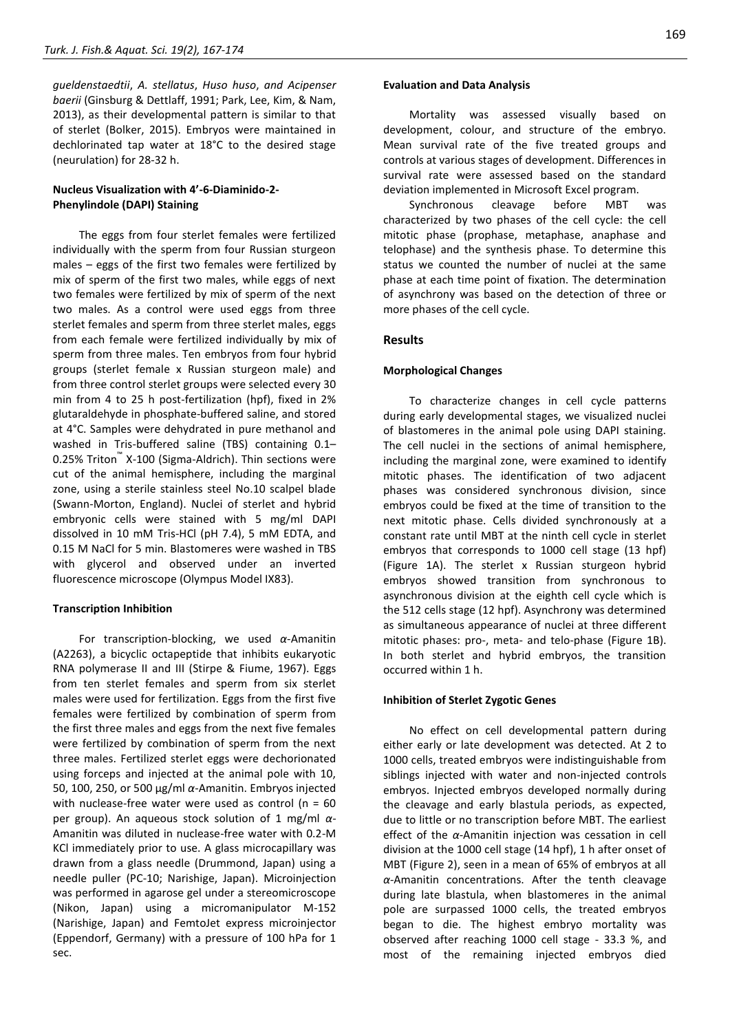*gueldenstaedtii*, *A. stellatus*, *Huso huso*, *and Acipenser baerii* (Ginsburg & Dettlaff, 1991; Park, Lee, Kim, & Nam, 2013), as their developmental pattern is similar to that of sterlet (Bolker, 2015). Embryos were maintained in dechlorinated tap water at 18°C to the desired stage (neurulation) for 28-32 h.

# **Nucleus Visualization with 4'-6-Diaminido-2- Phenylindole (DAPI) Staining**

The eggs from four sterlet females were fertilized individually with the sperm from four Russian sturgeon males – eggs of the first two females were fertilized by mix of sperm of the first two males, while eggs of next two females were fertilized by mix of sperm of the next two males. As a control were used eggs from three sterlet females and sperm from three sterlet males, eggs from each female were fertilized individually by mix of sperm from three males. Ten embryos from four hybrid groups (sterlet female x Russian sturgeon male) and from three control sterlet groups were selected every 30 min from 4 to 25 h post-fertilization (hpf), fixed in 2% glutaraldehyde in phosphate-buffered saline, and stored at 4°C. Samples were dehydrated in pure methanol and washed in Tris-buffered saline (TBS) containing 0.1– 0.25% Triton™ X-100 (Sigma-Aldrich). Thin sections were cut of the animal hemisphere, including the marginal zone, using a sterile stainless steel No.10 scalpel blade (Swann-Morton, England). Nuclei of sterlet and hybrid embryonic cells were stained with 5 mg/ml DAPI dissolved in 10 mM Tris-HCl (pH 7.4), 5 mM EDTA, and 0.15 M NaCl for 5 min. Blastomeres were washed in TBS with glycerol and observed under an inverted fluorescence microscope (Olympus Model IX83).

## **Transcription Inhibition**

For transcription-blocking, we used *α*-Amanitin (A2263), a bicyclic octapeptide that inhibits eukaryotic RNA polymerase II and III (Stirpe & Fiume, 1967). Eggs from ten sterlet females and sperm from six sterlet males were used for fertilization. Eggs from the first five females were fertilized by combination of sperm from the first three males and eggs from the next five females were fertilized by combination of sperm from the next three males. Fertilized sterlet eggs were dechorionated using forceps and injected at the animal pole with 10, 50, 100, 250, or 500 µg/ml *α*-Amanitin. Embryos injected with nuclease-free water were used as control ( $n = 60$ per group). An aqueous stock solution of 1 mg/ml *α*-Amanitin was diluted in nuclease-free water with 0.2-M KCl immediately prior to use. A glass microcapillary was drawn from a glass needle (Drummond, Japan) using a needle puller (PC-10; Narishige, Japan). Microinjection was performed in agarose gel under a stereomicroscope (Nikon, Japan) using a micromanipulator M-152 (Narishige, Japan) and FemtoJet express microinjector (Eppendorf, Germany) with a pressure of 100 hPa for 1 sec.

#### **Evaluation and Data Analysis**

Mortality was assessed visually based on development, colour, and structure of the embryo. Mean survival rate of the five treated groups and controls at various stages of development. Differences in survival rate were assessed based on the standard deviation implemented in Microsoft Excel program.

Synchronous cleavage before MBT was characterized by two phases of the cell cycle: the cell mitotic phase (prophase, metaphase, anaphase and telophase) and the synthesis phase. To determine this status we counted the number of nuclei at the same phase at each time point of fixation. The determination of asynchrony was based on the detection of three or more phases of the cell cycle.

# **Results**

## **Morphological Changes**

To characterize changes in cell cycle patterns during early developmental stages, we visualized nuclei of blastomeres in the animal pole using DAPI staining. The cell nuclei in the sections of animal hemisphere, including the marginal zone, were examined to identify mitotic phases. The identification of two adjacent phases was considered synchronous division, since embryos could be fixed at the time of transition to the next mitotic phase. Cells divided synchronously at a constant rate until MBT at the ninth cell cycle in sterlet embryos that corresponds to 1000 cell stage (13 hpf) (Figure 1A). The sterlet x Russian sturgeon hybrid embryos showed transition from synchronous to asynchronous division at the eighth cell cycle which is the 512 cells stage (12 hpf). Asynchrony was determined as simultaneous appearance of nuclei at three different mitotic phases: pro-, meta- and telo-phase (Figure 1B). In both sterlet and hybrid embryos, the transition occurred within 1 h.

#### **Inhibition of Sterlet Zygotic Genes**

No effect on cell developmental pattern during either early or late development was detected. At 2 to 1000 cells, treated embryos were indistinguishable from siblings injected with water and non-injected controls embryos. Injected embryos developed normally during the cleavage and early blastula periods, as expected, due to little or no transcription before MBT. The earliest effect of the *α*-Amanitin injection was cessation in cell division at the 1000 cell stage (14 hpf), 1 h after onset of MBT (Figure 2), seen in a mean of 65% of embryos at all *α*-Amanitin concentrations. After the tenth cleavage during late blastula, when blastomeres in the animal pole are surpassed 1000 cells, the treated embryos began to die. The highest embryo mortality was observed after reaching 1000 cell stage - 33.3 %, and most of the remaining injected embryos died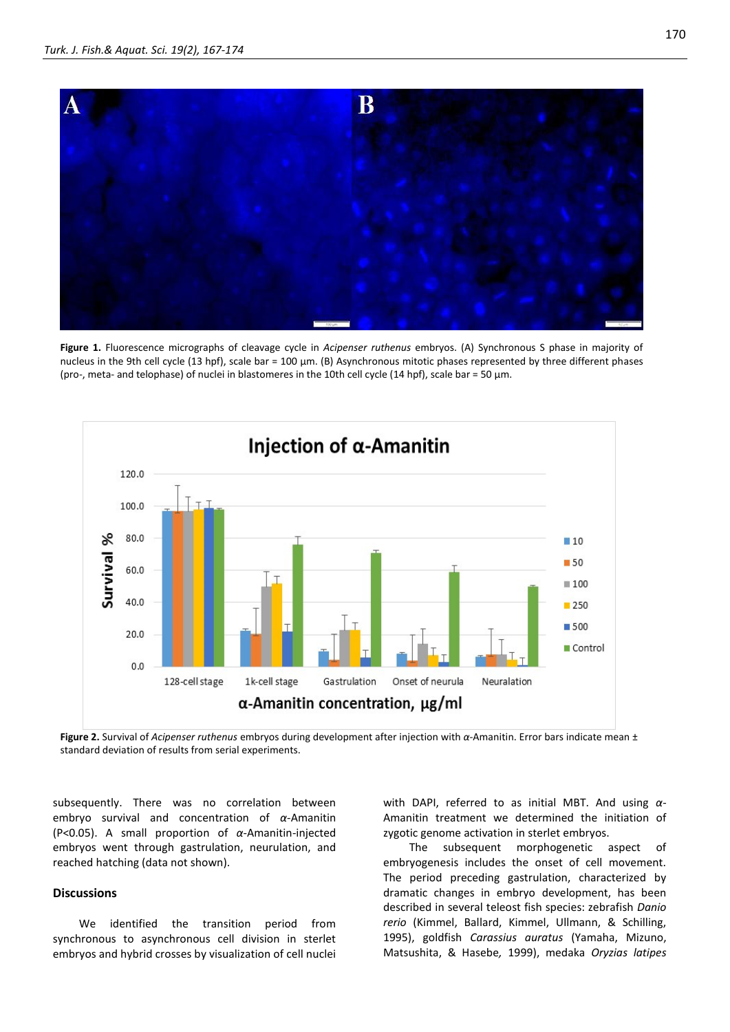

**Figure 1.** Fluorescence micrographs of cleavage cycle in *Acipenser ruthenus* embryos. (A) Synchronous S phase in majority of nucleus in the 9th cell cycle (13 hpf), scale bar = 100 µm. (B) Asynchronous mitotic phases represented by three different phases (pro-, meta- and telophase) of nuclei in blastomeres in the 10th cell cycle (14 hpf), scale bar = 50 µm.



**Figure 2.** Survival of *Acipenser ruthenus* embryos during development after injection with *α*-Amanitin. Error bars indicate mean ± standard deviation of results from serial experiments.

subsequently. There was no correlation between embryo survival and concentration of *α*-Amanitin (P<0.05). A small proportion of *α*-Amanitin-injected embryos went through gastrulation, neurulation, and reached hatching (data not shown).

# **Discussions**

We identified the transition period from synchronous to asynchronous cell division in sterlet embryos and hybrid crosses by visualization of cell nuclei with DAPI, referred to as initial MBT. And using *α*-Amanitin treatment we determined the initiation of zygotic genome activation in sterlet embryos.

The subsequent morphogenetic aspect of embryogenesis includes the onset of cell movement. The period preceding gastrulation, characterized by dramatic changes in embryo development, has been described in several teleost fish species: zebrafish *Danio rerio* (Kimmel, Ballard, Kimmel, Ullmann, & Schilling, 1995), goldfish *Carassius auratus* (Yamaha, Mizuno, Matsushita, & Hasebe*,* 1999), medaka *Oryzias latipes*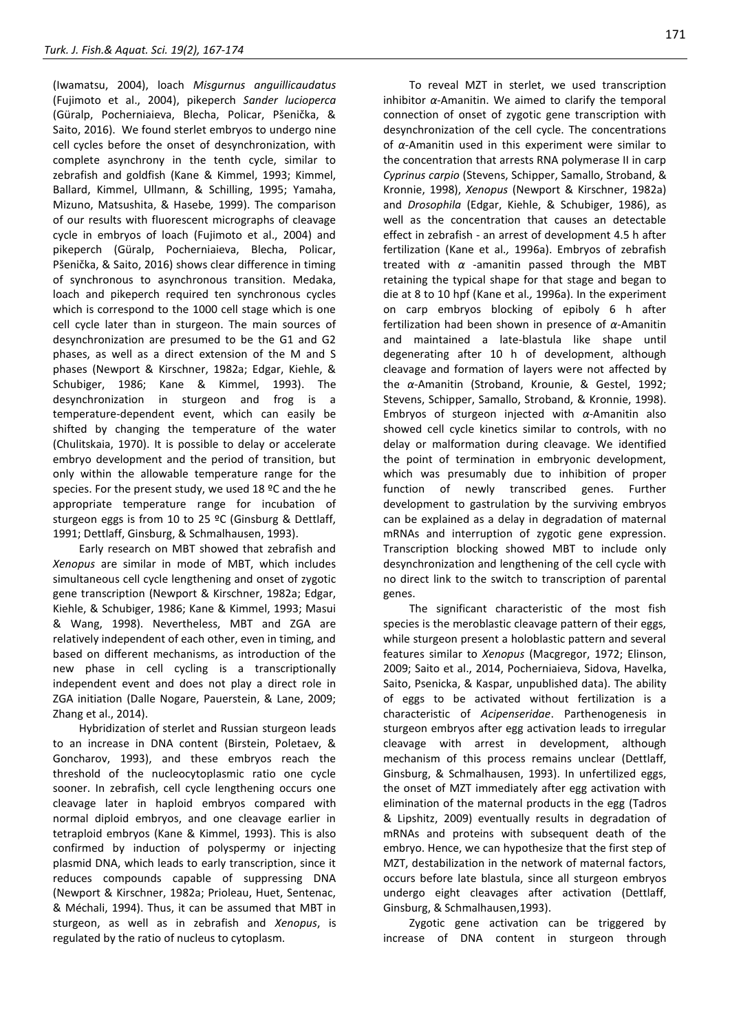(Iwamatsu, 2004), loach *Misgurnus anguillicaudatus* (Fujimoto et al., 2004), pikeperch *Sander lucioperca* (Güralp, Pocherniaieva, Blecha, Policar, Pšenička, & Saito, 2016). We found sterlet embryos to undergo nine cell cycles before the onset of desynchronization, with complete asynchrony in the tenth cycle, similar to zebrafish and goldfish (Kane & Kimmel, 1993; Kimmel, Ballard, Kimmel, Ullmann, & Schilling, 1995; Yamaha, Mizuno, Matsushita, & Hasebe*,* 1999). The comparison of our results with fluorescent micrographs of cleavage cycle in embryos of loach (Fujimoto et al., 2004) and pikeperch (Güralp, Pocherniaieva, Blecha, Policar, Pšenička, & Saito, 2016) shows clear difference in timing of synchronous to asynchronous transition. Medaka, loach and pikeperch required ten synchronous cycles which is correspond to the 1000 cell stage which is one cell cycle later than in sturgeon. The main sources of desynchronization are presumed to be the G1 and G2 phases, as well as a direct extension of the M and S phases (Newport & Kirschner, 1982a; Edgar, Kiehle, & Schubiger, 1986; Kane & Kimmel, 1993). The desynchronization in sturgeon and frog is a temperature-dependent event, which can easily be shifted by changing the temperature of the water (Chulitskaia, 1970). It is possible to delay or accelerate embryo development and the period of transition, but only within the allowable temperature range for the species. For the present study, we used 18 ºC and the he appropriate temperature range for incubation of sturgeon eggs is from 10 to 25 ºC (Ginsburg & Dettlaff, 1991; Dettlaff, Ginsburg, & Schmalhausen, 1993).

Early research on MBT showed that zebrafish and *Xenopus* are similar in mode of MBT, which includes simultaneous cell cycle lengthening and onset of zygotic gene transcription (Newport & Kirschner, 1982a; Edgar, Kiehle, & Schubiger, 1986; Kane & Kimmel, 1993; Masui & Wang, 1998). Nevertheless, MBT and ZGA are relatively independent of each other, even in timing, and based on different mechanisms, as introduction of the new phase in cell cycling is a transcriptionally independent event and does not play a direct role in ZGA initiation (Dalle Nogare, Pauerstein, & Lane, 2009; Zhang et al., 2014).

Hybridization of sterlet and Russian sturgeon leads to an increase in DNA content (Birstein, Poletaev, & Goncharov, 1993), and these embryos reach the threshold of the nucleocytoplasmic ratio one cycle sooner. In zebrafish, cell cycle lengthening occurs one cleavage later in haploid embryos compared with normal diploid embryos, and one cleavage earlier in tetraploid embryos (Kane & Kimmel, 1993). This is also confirmed by induction of polyspermy or injecting plasmid DNA, which leads to early transcription, since it reduces compounds capable of suppressing DNA (Newport & Kirschner, 1982a; Prioleau, Huet, Sentenac, & Méchali, 1994). Thus, it can be assumed that MBT in sturgeon, as well as in zebrafish and *Xenopus*, is regulated by the ratio of nucleus to cytoplasm.

To reveal MZT in sterlet, we used transcription inhibitor *α*-Amanitin. We aimed to clarify the temporal connection of onset of zygotic gene transcription with desynchronization of the cell cycle. The concentrations of *α*-Amanitin used in this experiment were similar to the concentration that arrests RNA polymerase II in carp *Cyprinus carpio* (Stevens, Schipper, Samallo, Stroband, & Kronnie, 1998), *Xenopus* (Newport & Kirschner, 1982a) and *Drosophila* (Edgar, Kiehle, & Schubiger, 1986), as well as the concentration that causes an detectable effect in zebrafish - an arrest of development 4.5 h after fertilization (Kane et al*.,* 1996a). Embryos of zebrafish treated with *α* -amanitin passed through the MBT retaining the typical shape for that stage and began to die at 8 to 10 hpf (Kane et al*.,* 1996a). In the experiment on carp embryos blocking of epiboly 6 h after fertilization had been shown in presence of *α*-Amanitin and maintained a late-blastula like shape until degenerating after 10 h of development, although cleavage and formation of layers were not affected by the *α*-Amanitin (Stroband, Krounie, & Gestel, 1992; Stevens, Schipper, Samallo, Stroband, & Kronnie, 1998). Embryos of sturgeon injected with *α*-Amanitin also showed cell cycle kinetics similar to controls, with no delay or malformation during cleavage. We identified the point of termination in embryonic development, which was presumably due to inhibition of proper function of newly transcribed genes. Further development to gastrulation by the surviving embryos can be explained as a delay in degradation of maternal mRNAs and interruption of zygotic gene expression. Transcription blocking showed MBT to include only desynchronization and lengthening of the cell cycle with no direct link to the switch to transcription of parental genes.

The significant characteristic of the most fish species is the meroblastic cleavage pattern of their eggs, while sturgeon present a holoblastic pattern and several features similar to *Xenopus* (Macgregor, 1972; Elinson, 2009; Saito et al., 2014, Pocherniaieva, Sidova, Havelka, Saito, Psenicka, & Kaspar*,* unpublished data). The ability of eggs to be activated without fertilization is a characteristic of *Acipenseridae*. Parthenogenesis in sturgeon embryos after egg activation leads to irregular cleavage with arrest in development, although mechanism of this process remains unclear (Dettlaff, Ginsburg, & Schmalhausen, 1993). In unfertilized eggs, the onset of MZT immediately after egg activation with elimination of the maternal products in the egg (Tadros & Lipshitz, 2009) eventually results in degradation of mRNAs and proteins with subsequent death of the embryo. Hence, we can hypothesize that the first step of MZT, destabilization in the network of maternal factors, occurs before late blastula, since all sturgeon embryos undergo eight cleavages after activation (Dettlaff, Ginsburg, & Schmalhausen,1993).

Zygotic gene activation can be triggered by increase of DNA content in sturgeon through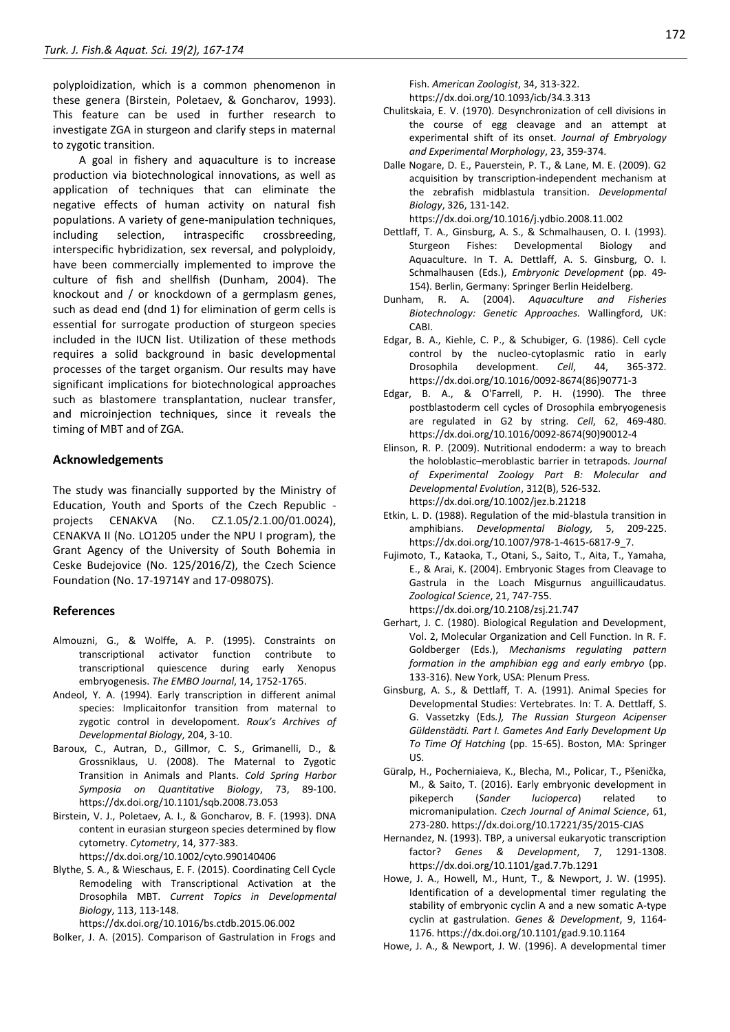polyploidization, which is a common phenomenon in these genera (Birstein, Poletaev, & Goncharov, 1993). This feature can be used in further research to investigate ZGA in sturgeon and clarify steps in maternal to zygotic transition.

A goal in fishery and aquaculture is to increase production via biotechnological innovations, as well as application of techniques that can eliminate the negative effects of human activity on natural fish populations. A variety of gene-manipulation techniques, including selection, intraspecific crossbreeding, interspecific hybridization, sex reversal, and polyploidy, have been commercially implemented to improve the culture of fish and shellfish (Dunham, 2004). The knockout and / or knockdown of a germplasm genes, such as dead end (dnd 1) for elimination of germ cells is essential for surrogate production of sturgeon species included in the IUCN list. Utilization of these methods requires a solid background in basic developmental processes of the target organism. Our results may have significant implications for biotechnological approaches such as blastomere transplantation, nuclear transfer, and microinjection techniques, since it reveals the timing of MBT and of ZGA.

## **Acknowledgements**

The study was financially supported by the Ministry of Education, Youth and Sports of the Czech Republic projects CENAKVA (No. CZ.1.05/2.1.00/01.0024), CENAKVA II (No. LO1205 under the NPU I program), the Grant Agency of the University of South Bohemia in Ceske Budejovice (No. 125/2016/Z), the Czech Science Foundation (No. 17-19714Y and 17-09807S).

## **References**

- Almouzni, G., & Wolffe, A. P. (1995). Constraints on transcriptional activator function contribute to transcriptional quiescence during early Xenopus embryogenesis. *The EMBO Journal*, 14, 1752-1765.
- Andeol, Y. A. (1994). Early transcription in different animal species: Implicaitonfor transition from maternal to zygotic control in developoment. *Roux's Archives of Developmental Biology*, 204, 3-10.
- Baroux, C., Autran, D., Gillmor, C. S., Grimanelli, D., & Grossniklaus, U. (2008). The Maternal to Zygotic Transition in Animals and Plants. *Cold Spring Harbor Symposia on Quantitative Biology*, 73, 89-100. https://dx.doi.org/10.1101/sqb.2008.73.053
- Birstein, V. J., Poletaev, A. I., & Goncharov, B. F. (1993). DNA content in eurasian sturgeon species determined by flow cytometry. *Cytometry*, 14, 377-383. https://dx.doi.org/10.1002/cyto.990140406
- Blythe, S. A., & Wieschaus, E. F. (2015). Coordinating Cell Cycle Remodeling with Transcriptional Activation at the Drosophila MBT. *Current Topics in Developmental Biology*, 113, 113-148.

https://dx.doi.org/10.1016/bs.ctdb.2015.06.002

Bolker, J. A. (2015). Comparison of Gastrulation in Frogs and

Fish. *American Zoologist*, 34, 313-322. https://dx.doi.org/10.1093/icb/34.3.313

- Chulitskaia, E. V. (1970). Desynchronization of cell divisions in the course of egg cleavage and an attempt at experimental shift of its onset. *Journal of Embryology and Experimental Morphology*, 23, 359-374.
- Dalle Nogare, D. E., Pauerstein, P. T., & Lane, M. E. (2009). G2 acquisition by transcription-independent mechanism at the zebrafish midblastula transition. *Developmental Biology*, 326, 131-142.

https://dx.doi.org/10.1016/j.ydbio.2008.11.002

- Dettlaff, T. A., Ginsburg, A. S., & Schmalhausen, O. I. (1993). Sturgeon Fishes: Developmental Biology and Aquaculture. In T. A. Dettlaff, A. S. Ginsburg, O. I. Schmalhausen (Eds.), *Embryonic Development* (pp. 49- 154). Berlin, Germany: Springer Berlin Heidelberg.
- Dunham, R. A. (2004). *Aquaculture and Fisheries Biotechnology: Genetic Approaches.* Wallingford, UK: CABI.
- Edgar, B. A., Kiehle, C. P., & Schubiger, G. (1986). Cell cycle control by the nucleo-cytoplasmic ratio in early Drosophila development. *Cell*, 44, 365-372. https://dx.doi.org/10.1016/0092-8674(86)90771-3
- Edgar, B. A., & O'Farrell, P. H. (1990). The three postblastoderm cell cycles of Drosophila embryogenesis are regulated in G2 by string. *Cell*, 62, 469-480. https://dx.doi.org/10.1016/0092-8674(90)90012-4
- Elinson, R. P. (2009). Nutritional endoderm: a way to breach the holoblastic–meroblastic barrier in tetrapods. *Journal of Experimental Zoology Part B: Molecular and Developmental Evolution*, 312(B), 526-532. https://dx.doi.org/10.1002/jez.b.21218
- Etkin, L. D. (1988). Regulation of the mid-blastula transition in amphibians. *Developmental Biology,* 5, 209-225. https://dx.doi.org/10.1007/978-1-4615-6817-9\_7.
- Fujimoto, T., Kataoka, T., Otani, S., Saito, T., Aita, T., Yamaha, E., & Arai, K. (2004). Embryonic Stages from Cleavage to Gastrula in the Loach Misgurnus anguillicaudatus. *Zoological Science*, 21, 747-755. https://dx.doi.org/10.2108/zsj.21.747
- Gerhart, J. C. (1980). Biological Regulation and Development, Vol. 2, Molecular Organization and Cell Function. In R. F. Goldberger (Eds.), *Mechanisms regulating pattern formation in the amphibian egg and early embryo* (pp. 133-316). New York, USA: Plenum Press.
- Ginsburg, A. S., & Dettlaff, T. A. (1991). Animal Species for Developmental Studies: Vertebrates. In: T. A. Dettlaff, S. G. Vassetzky (Eds*.), The Russian Sturgeon Acipenser Güldenstädti. Part I. Gametes And Early Development Up To Time Of Hatching* (pp. 15-65). Boston, MA: Springer US.
- Güralp, H., Pocherniaieva, K., Blecha, M., Policar, T., Pšenička, M., & Saito, T. (2016). Early embryonic development in pikeperch (*Sander lucioperca*) related to micromanipulation. *Czech Journal of Animal Science*, 61, 273-280. https://dx.doi.org/10.17221/35/2015-CJAS
- Hernandez, N. (1993). TBP, a universal eukaryotic transcription factor? *Genes & Development*, 7, 1291-1308. https://dx.doi.org/10.1101/gad.7.7b.1291
- Howe, J. A., Howell, M., Hunt, T., & Newport, J. W. (1995). Identification of a developmental timer regulating the stability of embryonic cyclin A and a new somatic A-type cyclin at gastrulation. *Genes & Development*, 9, 1164- 1176. https://dx.doi.org/10.1101/gad.9.10.1164

Howe, J. A., & Newport, J. W. (1996). A developmental timer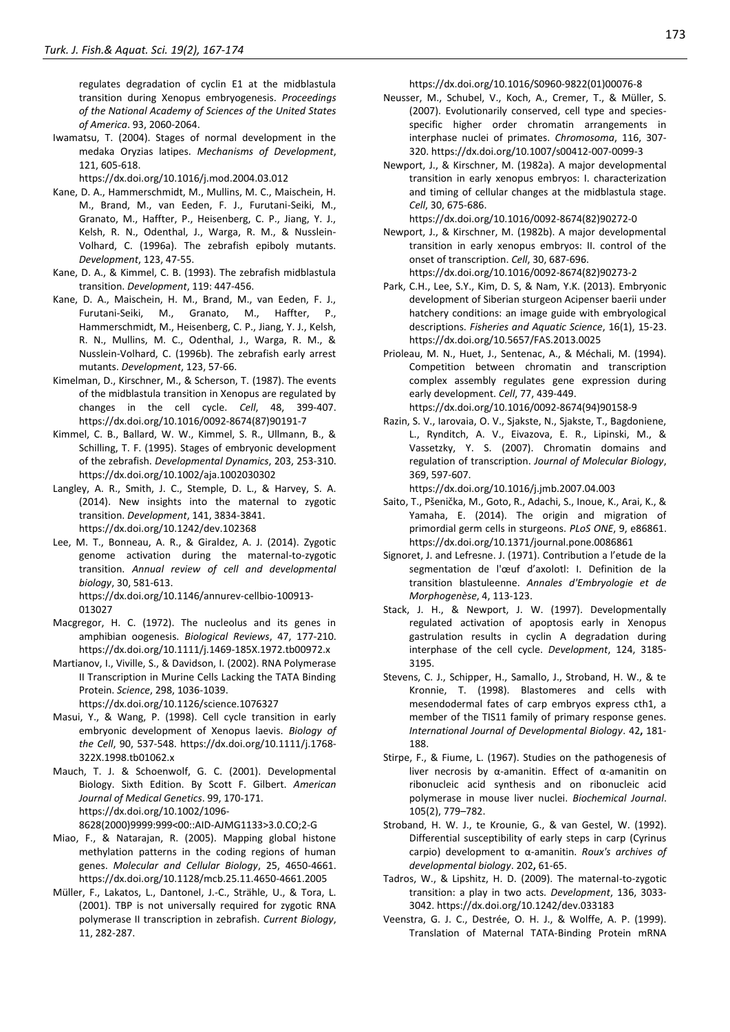regulates degradation of cyclin E1 at the midblastula transition during Xenopus embryogenesis. *Proceedings of the National Academy of Sciences of the United States of America*. 93, 2060-2064.

Iwamatsu, T. (2004). Stages of normal development in the medaka Oryzias latipes. *Mechanisms of Development*, 121, 605-618.

https://dx.doi.org/10.1016/j.mod.2004.03.012

- Kane, D. A., Hammerschmidt, M., Mullins, M. C., Maischein, H. M., Brand, M., van Eeden, F. J., Furutani-Seiki, M., Granato, M., Haffter, P., Heisenberg, C. P., Jiang, Y. J., Kelsh, R. N., Odenthal, J., Warga, R. M., & Nusslein-Volhard, C. (1996a). The zebrafish epiboly mutants. *Development*, 123, 47-55.
- Kane, D. A., & Kimmel, C. B. (1993). The zebrafish midblastula transition. *Development*, 119: 447-456.
- Kane, D. A., Maischein, H. M., Brand, M., van Eeden, F. J., Furutani-Seiki, M., Granato, M., Haffter, P., Hammerschmidt, M., Heisenberg, C. P., Jiang, Y. J., Kelsh, R. N., Mullins, M. C., Odenthal, J., Warga, R. M., & Nusslein-Volhard, C. (1996b). The zebrafish early arrest mutants. *Development*, 123, 57-66.
- Kimelman, D., Kirschner, M., & Scherson, T. (1987). The events of the midblastula transition in Xenopus are regulated by changes in the cell cycle. *Cell*, 48, 399-407. https://dx.doi.org/10.1016/0092-8674(87)90191-7
- Kimmel, C. B., Ballard, W. W., Kimmel, S. R., Ullmann, B., & Schilling, T. F. (1995). Stages of embryonic development of the zebrafish. *Developmental Dynamics*, 203, 253-310. https://dx.doi.org/10.1002/aja.1002030302
- Langley, A. R., Smith, J. C., Stemple, D. L., & Harvey, S. A. (2014). New insights into the maternal to zygotic transition. *Development*, 141, 3834-3841. https://dx.doi.org/10.1242/dev.102368
- Lee, M. T., Bonneau, A. R., & Giraldez, A. J. (2014). Zygotic genome activation during the maternal-to-zygotic transition. *Annual review of cell and developmental biology*, 30, 581-613. https://dx.doi.org/10.1146/annurev-cellbio-100913- 013027
- Macgregor, H. C. (1972). The nucleolus and its genes in amphibian oogenesis. *Biological Reviews*, 47, 177-210. https://dx.doi.org/10.1111/j.1469-185X.1972.tb00972.x
- Martianov, I., Viville, S., & Davidson, I. (2002). RNA Polymerase II Transcription in Murine Cells Lacking the TATA Binding Protein. *Science*, 298, 1036-1039. https://dx.doi.org/10.1126/science.1076327
- Masui, Y., & Wang, P. (1998). Cell cycle transition in early embryonic development of Xenopus laevis. *Biology of the Cell*, 90, 537-548. https://dx.doi.org/10.1111/j.1768-
- 322X.1998.tb01062.x Mauch, T. J. & Schoenwolf, G. C. (2001). Developmental Biology. Sixth Edition. By Scott F. Gilbert. *American Journal of Medical Genetics*. 99, 170-171. https://dx.doi.org/10.1002/1096-

8628(2000)9999:999<00::AID-AJMG1133>3.0.CO;2-G

- Miao, F., & Natarajan, R. (2005). Mapping global histone methylation patterns in the coding regions of human genes. *Molecular and Cellular Biology*, 25, 4650-4661. https://dx.doi.org/10.1128/mcb.25.11.4650-4661.2005
- Müller, F., Lakatos, L., Dantonel, J.-C., Strähle, U., & Tora, L. (2001). TBP is not universally required for zygotic RNA polymerase II transcription in zebrafish. *Current Biology*, 11, 282-287.

https://dx.doi.org/10.1016/S0960-9822(01)00076-8

- Neusser, M., Schubel, V., Koch, A., Cremer, T., & Müller, S. (2007). Evolutionarily conserved, cell type and speciesspecific higher order chromatin arrangements in interphase nuclei of primates. *Chromosoma*, 116, 307- 320. https://dx.doi.org/10.1007/s00412-007-0099-3
- Newport, J., & Kirschner, M. (1982a). A major developmental transition in early xenopus embryos: I. characterization and timing of cellular changes at the midblastula stage. *Cell*, 30, 675-686.

https://dx.doi.org/10.1016/0092-8674(82)90272-0

- Newport, J., & Kirschner, M. (1982b). A major developmental transition in early xenopus embryos: II. control of the onset of transcription. *Cell*, 30, 687-696. https://dx.doi.org/10.1016/0092-8674(82)90273-2
- Park, C.H., Lee, S.Y., Kim, D. S, & Nam, Y.K. (2013). Embryonic development of Siberian sturgeon Acipenser baerii under hatchery conditions: an image guide with embryological descriptions. *Fisheries and Aquatic Science*, 16(1), 15-23. https://dx.doi.org/10.5657/FAS.2013.0025
- Prioleau, M. N., Huet, J., Sentenac, A., & Méchali, M. (1994). Competition between chromatin and transcription complex assembly regulates gene expression during early development. *Cell*, 77, 439-449. https://dx.doi.org/10.1016/0092-8674(94)90158-9
- Razin, S. V., Iarovaia, O. V., Sjakste, N., Sjakste, T., Bagdoniene, L., Rynditch, A. V., Eivazova, E. R., Lipinski, M., & Vassetzky, Y. S. (2007). Chromatin domains and regulation of transcription. *Journal of Molecular Biology*, 369, 597-607.

https://dx.doi.org/10.1016/j.jmb.2007.04.003

- Saito, T., Pšenička, M., Goto, R., Adachi, S., Inoue, K., Arai, K., & Yamaha, E. (2014). The origin and migration of primordial germ cells in sturgeons. *PLoS ONE*, 9, e86861. https://dx.doi.org/10.1371/journal.pone.0086861
- Signoret, J. and Lefresne. J. (1971). Contribution a l'etude de la segmentation de l'œuf d'axolotl: I. Definition de la transition blastuleenne. *Annales d Em ryolo ie et de orpho en se*, 4, 113-123.
- Stack, J. H., & Newport, J. W. (1997). Developmentally regulated activation of apoptosis early in Xenopus gastrulation results in cyclin A degradation during interphase of the cell cycle. *Development*, 124, 3185- 3195.
- Stevens, C. J., Schipper, H., Samallo, J., Stroband, H. W., & te Kronnie, T. (1998). Blastomeres and cells with mesendodermal fates of carp embryos express cth1, a member of the TIS11 family of primary response genes. *International Journal of Developmental Biology*. 42**,** 181- 188.
- Stirpe, F., & Fiume, L. (1967). Studies on the pathogenesis of liver necrosis by α-amanitin. Effect of α-amanitin on ribonucleic acid synthesis and on ribonucleic acid polymerase in mouse liver nuclei. *Biochemical Journal*. 105(2), 779–782.
- Stroband, H. W. J., te Krounie, G., & van Gestel, W. (1992). Differential susceptibility of early steps in carp (Cyrinus carpio) development to α-amanitin. *Roux's archives of developmental biology*. 202**,** 61-65.
- Tadros, W., & Lipshitz, H. D. (2009). The maternal-to-zygotic transition: a play in two acts. *Development*, 136, 3033- 3042. https://dx.doi.org/10.1242/dev.033183
- Veenstra, G. J. C., Destrée, O. H. J., & Wolffe, A. P. (1999). Translation of Maternal TATA-Binding Protein mRNA